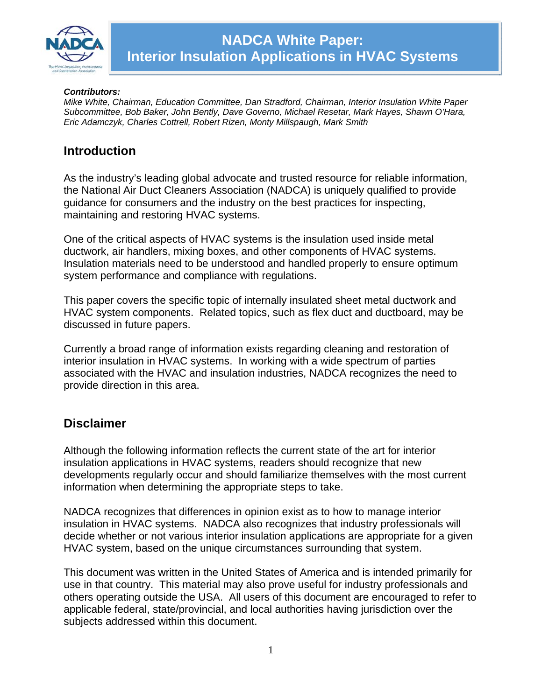

#### *Contributors:*

*Mike White, Chairman, Education Committee, Dan Stradford, Chairman, Interior Insulation White Paper Subcommittee, Bob Baker, John Bently, Dave Governo, Michael Resetar, Mark Hayes, Shawn O'Hara, Eric Adamczyk, Charles Cottrell, Robert Rizen, Monty Millspaugh, Mark Smith* 

### **Introduction**

As the industry's leading global advocate and trusted resource for reliable information, the National Air Duct Cleaners Association (NADCA) is uniquely qualified to provide guidance for consumers and the industry on the best practices for inspecting, maintaining and restoring HVAC systems.

One of the critical aspects of HVAC systems is the insulation used inside metal ductwork, air handlers, mixing boxes, and other components of HVAC systems. Insulation materials need to be understood and handled properly to ensure optimum system performance and compliance with regulations.

This paper covers the specific topic of internally insulated sheet metal ductwork and HVAC system components. Related topics, such as flex duct and ductboard, may be discussed in future papers.

Currently a broad range of information exists regarding cleaning and restoration of interior insulation in HVAC systems. In working with a wide spectrum of parties associated with the HVAC and insulation industries, NADCA recognizes the need to provide direction in this area.

### **Disclaimer**

Although the following information reflects the current state of the art for interior insulation applications in HVAC systems, readers should recognize that new developments regularly occur and should familiarize themselves with the most current information when determining the appropriate steps to take.

NADCA recognizes that differences in opinion exist as to how to manage interior insulation in HVAC systems. NADCA also recognizes that industry professionals will decide whether or not various interior insulation applications are appropriate for a given HVAC system, based on the unique circumstances surrounding that system.

This document was written in the United States of America and is intended primarily for use in that country. This material may also prove useful for industry professionals and others operating outside the USA. All users of this document are encouraged to refer to applicable federal, state/provincial, and local authorities having jurisdiction over the subjects addressed within this document.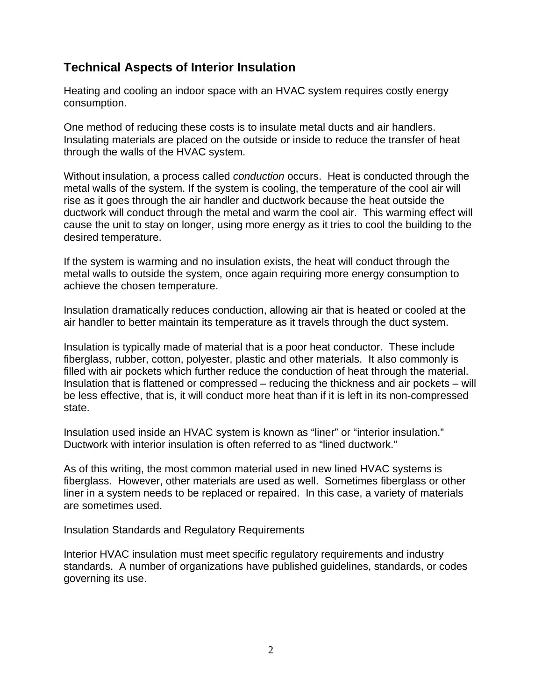## **Technical Aspects of Interior Insulation**

Heating and cooling an indoor space with an HVAC system requires costly energy consumption.

One method of reducing these costs is to insulate metal ducts and air handlers. Insulating materials are placed on the outside or inside to reduce the transfer of heat through the walls of the HVAC system.

Without insulation, a process called *conduction* occurs. Heat is conducted through the metal walls of the system. If the system is cooling, the temperature of the cool air will rise as it goes through the air handler and ductwork because the heat outside the ductwork will conduct through the metal and warm the cool air. This warming effect will cause the unit to stay on longer, using more energy as it tries to cool the building to the desired temperature.

If the system is warming and no insulation exists, the heat will conduct through the metal walls to outside the system, once again requiring more energy consumption to achieve the chosen temperature.

Insulation dramatically reduces conduction, allowing air that is heated or cooled at the air handler to better maintain its temperature as it travels through the duct system.

Insulation is typically made of material that is a poor heat conductor. These include fiberglass, rubber, cotton, polyester, plastic and other materials. It also commonly is filled with air pockets which further reduce the conduction of heat through the material. Insulation that is flattened or compressed – reducing the thickness and air pockets – will be less effective, that is, it will conduct more heat than if it is left in its non-compressed state.

Insulation used inside an HVAC system is known as "liner" or "interior insulation." Ductwork with interior insulation is often referred to as "lined ductwork."

As of this writing, the most common material used in new lined HVAC systems is fiberglass. However, other materials are used as well. Sometimes fiberglass or other liner in a system needs to be replaced or repaired. In this case, a variety of materials are sometimes used.

#### Insulation Standards and Regulatory Requirements

Interior HVAC insulation must meet specific regulatory requirements and industry standards. A number of organizations have published guidelines, standards, or codes governing its use.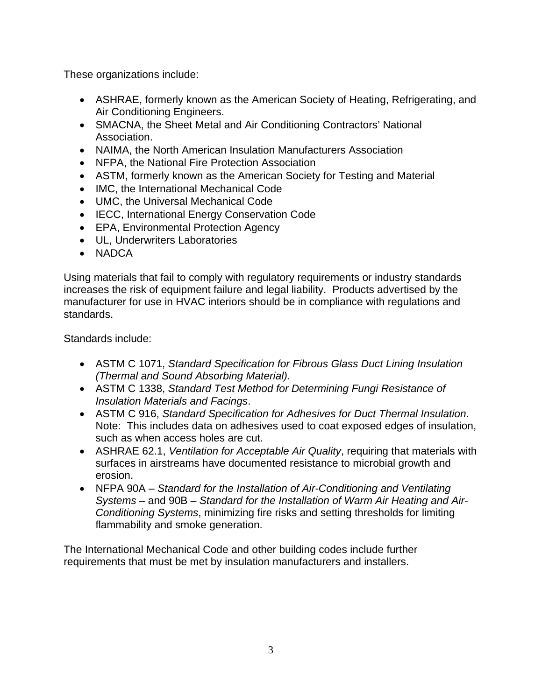These organizations include:

- ASHRAE, formerly known as the American Society of Heating, Refrigerating, and Air Conditioning Engineers.
- SMACNA, the Sheet Metal and Air Conditioning Contractors' National Association.
- NAIMA, the North American Insulation Manufacturers Association
- NFPA, the National Fire Protection Association
- ASTM, formerly known as the American Society for Testing and Material
- IMC, the International Mechanical Code
- UMC, the Universal Mechanical Code
- IECC, International Energy Conservation Code
- EPA, Environmental Protection Agency
- UL, Underwriters Laboratories
- NADCA

Using materials that fail to comply with regulatory requirements or industry standards increases the risk of equipment failure and legal liability. Products advertised by the manufacturer for use in HVAC interiors should be in compliance with regulations and standards.

Standards include:

- ASTM C 1071, *Standard Specification for Fibrous Glass Duct Lining Insulation (Thermal and Sound Absorbing Material).*
- ASTM C 1338, *Standard Test Method for Determining Fungi Resistance of Insulation Materials and Facings*.
- ASTM C 916, *Standard Specification for Adhesives for Duct Thermal Insulation*. Note: This includes data on adhesives used to coat exposed edges of insulation, such as when access holes are cut.
- ASHRAE 62.1, *Ventilation for Acceptable Air Quality*, requiring that materials with surfaces in airstreams have documented resistance to microbial growth and erosion.
- NFPA 90A *Standard for the Installation of Air-Conditioning and Ventilating Systems* – and 90B – *Standard for the Installation of Warm Air Heating and Air-Conditioning Systems*, minimizing fire risks and setting thresholds for limiting flammability and smoke generation.

The International Mechanical Code and other building codes include further requirements that must be met by insulation manufacturers and installers.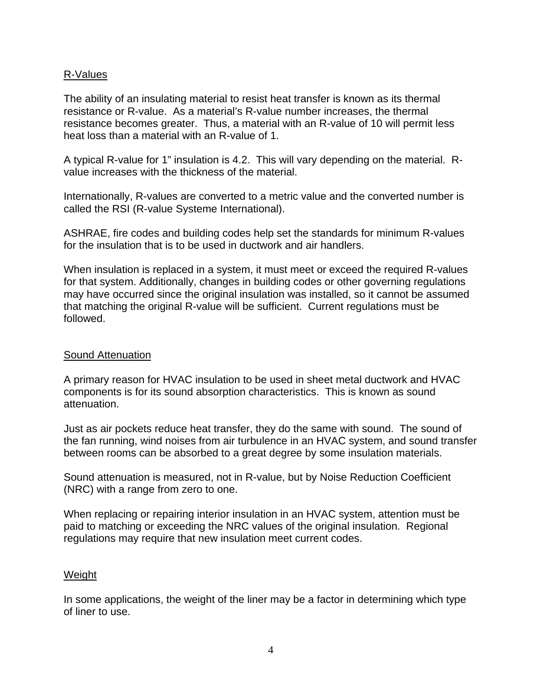#### R-Values

The ability of an insulating material to resist heat transfer is known as its thermal resistance or R-value. As a material's R-value number increases, the thermal resistance becomes greater. Thus, a material with an R-value of 10 will permit less heat loss than a material with an R-value of 1.

A typical R-value for 1" insulation is 4.2. This will vary depending on the material. Rvalue increases with the thickness of the material.

Internationally, R-values are converted to a metric value and the converted number is called the RSI (R-value Systeme International).

ASHRAE, fire codes and building codes help set the standards for minimum R-values for the insulation that is to be used in ductwork and air handlers.

When insulation is replaced in a system, it must meet or exceed the required R-values for that system. Additionally, changes in building codes or other governing regulations may have occurred since the original insulation was installed, so it cannot be assumed that matching the original R-value will be sufficient. Current regulations must be followed.

#### Sound Attenuation

A primary reason for HVAC insulation to be used in sheet metal ductwork and HVAC components is for its sound absorption characteristics. This is known as sound attenuation.

Just as air pockets reduce heat transfer, they do the same with sound. The sound of the fan running, wind noises from air turbulence in an HVAC system, and sound transfer between rooms can be absorbed to a great degree by some insulation materials.

Sound attenuation is measured, not in R-value, but by Noise Reduction Coefficient (NRC) with a range from zero to one.

When replacing or repairing interior insulation in an HVAC system, attention must be paid to matching or exceeding the NRC values of the original insulation. Regional regulations may require that new insulation meet current codes.

#### **Weight**

In some applications, the weight of the liner may be a factor in determining which type of liner to use.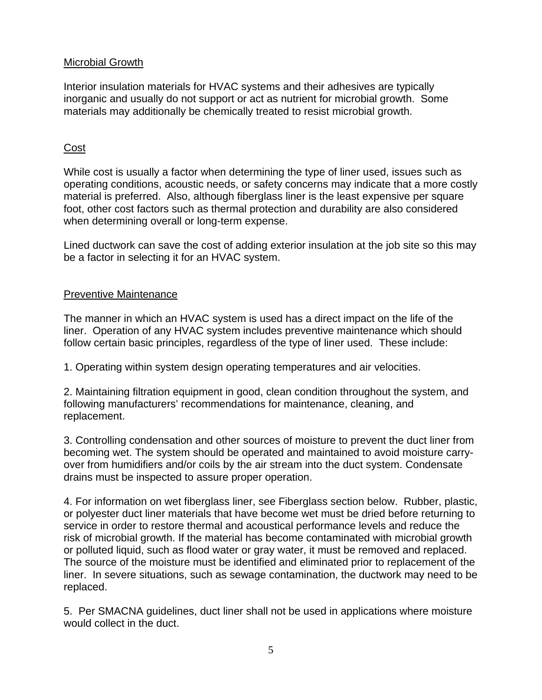#### Microbial Growth

Interior insulation materials for HVAC systems and their adhesives are typically inorganic and usually do not support or act as nutrient for microbial growth. Some materials may additionally be chemically treated to resist microbial growth.

#### Cost

While cost is usually a factor when determining the type of liner used, issues such as operating conditions, acoustic needs, or safety concerns may indicate that a more costly material is preferred. Also, although fiberglass liner is the least expensive per square foot, other cost factors such as thermal protection and durability are also considered when determining overall or long-term expense.

Lined ductwork can save the cost of adding exterior insulation at the job site so this may be a factor in selecting it for an HVAC system.

#### Preventive Maintenance

The manner in which an HVAC system is used has a direct impact on the life of the liner. Operation of any HVAC system includes preventive maintenance which should follow certain basic principles, regardless of the type of liner used. These include:

1. Operating within system design operating temperatures and air velocities.

2. Maintaining filtration equipment in good, clean condition throughout the system, and following manufacturers' recommendations for maintenance, cleaning, and replacement.

3. Controlling condensation and other sources of moisture to prevent the duct liner from becoming wet. The system should be operated and maintained to avoid moisture carryover from humidifiers and/or coils by the air stream into the duct system. Condensate drains must be inspected to assure proper operation.

4. For information on wet fiberglass liner, see Fiberglass section below. Rubber, plastic, or polyester duct liner materials that have become wet must be dried before returning to service in order to restore thermal and acoustical performance levels and reduce the risk of microbial growth. If the material has become contaminated with microbial growth or polluted liquid, such as flood water or gray water, it must be removed and replaced. The source of the moisture must be identified and eliminated prior to replacement of the liner. In severe situations, such as sewage contamination, the ductwork may need to be replaced.

5. Per SMACNA guidelines, duct liner shall not be used in applications where moisture would collect in the duct.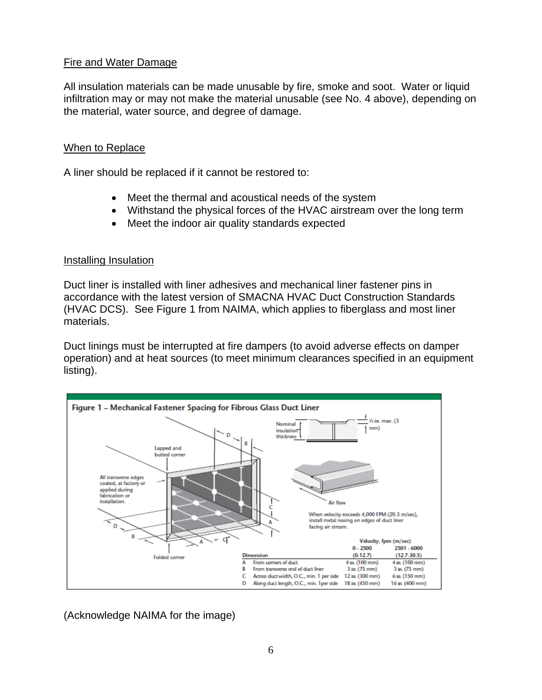#### Fire and Water Damage

All insulation materials can be made unusable by fire, smoke and soot. Water or liquid infiltration may or may not make the material unusable (see No. 4 above), depending on the material, water source, and degree of damage.

#### When to Replace

A liner should be replaced if it cannot be restored to:

- Meet the thermal and acoustical needs of the system
- Withstand the physical forces of the HVAC airstream over the long term
- Meet the indoor air quality standards expected

#### Installing Insulation

Duct liner is installed with liner adhesives and mechanical liner fastener pins in accordance with the latest version of SMACNA HVAC Duct Construction Standards (HVAC DCS). See Figure 1 from NAIMA, which applies to fiberglass and most liner materials.

Duct linings must be interrupted at fire dampers (to avoid adverse effects on damper operation) and at heat sources (to meet minimum clearances specified in an equipment listing).



(Acknowledge NAIMA for the image)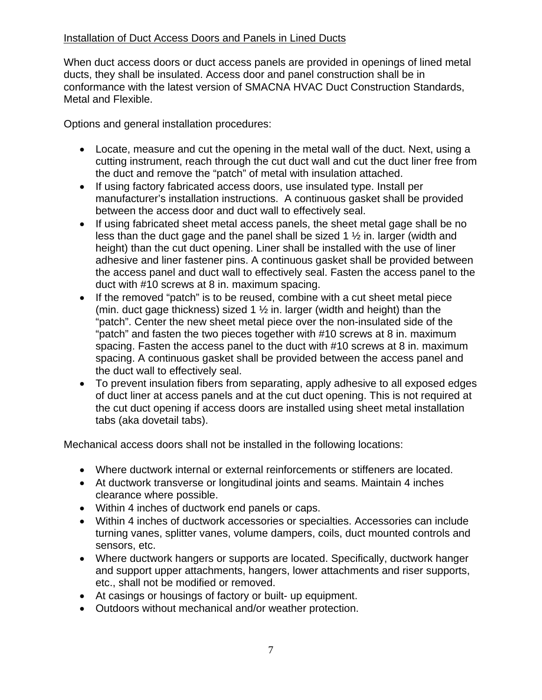#### Installation of Duct Access Doors and Panels in Lined Ducts

When duct access doors or duct access panels are provided in openings of lined metal ducts, they shall be insulated. Access door and panel construction shall be in conformance with the latest version of SMACNA HVAC Duct Construction Standards, Metal and Flexible.

Options and general installation procedures:

- Locate, measure and cut the opening in the metal wall of the duct. Next, using a cutting instrument, reach through the cut duct wall and cut the duct liner free from the duct and remove the "patch" of metal with insulation attached.
- If using factory fabricated access doors, use insulated type. Install per manufacturer's installation instructions. A continuous gasket shall be provided between the access door and duct wall to effectively seal.
- If using fabricated sheet metal access panels, the sheet metal gage shall be no less than the duct gage and the panel shall be sized 1 ½ in. larger (width and height) than the cut duct opening. Liner shall be installed with the use of liner adhesive and liner fastener pins. A continuous gasket shall be provided between the access panel and duct wall to effectively seal. Fasten the access panel to the duct with #10 screws at 8 in. maximum spacing.
- If the removed "patch" is to be reused, combine with a cut sheet metal piece (min. duct gage thickness) sized 1  $\frac{1}{2}$  in. larger (width and height) than the "patch". Center the new sheet metal piece over the non-insulated side of the "patch" and fasten the two pieces together with #10 screws at 8 in. maximum spacing. Fasten the access panel to the duct with #10 screws at 8 in. maximum spacing. A continuous gasket shall be provided between the access panel and the duct wall to effectively seal.
- To prevent insulation fibers from separating, apply adhesive to all exposed edges of duct liner at access panels and at the cut duct opening. This is not required at the cut duct opening if access doors are installed using sheet metal installation tabs (aka dovetail tabs).

Mechanical access doors shall not be installed in the following locations:

- Where ductwork internal or external reinforcements or stiffeners are located.
- At ductwork transverse or longitudinal joints and seams. Maintain 4 inches clearance where possible.
- Within 4 inches of ductwork end panels or caps.
- Within 4 inches of ductwork accessories or specialties. Accessories can include turning vanes, splitter vanes, volume dampers, coils, duct mounted controls and sensors, etc.
- Where ductwork hangers or supports are located. Specifically, ductwork hanger and support upper attachments, hangers, lower attachments and riser supports, etc., shall not be modified or removed.
- At casings or housings of factory or built- up equipment.
- Outdoors without mechanical and/or weather protection.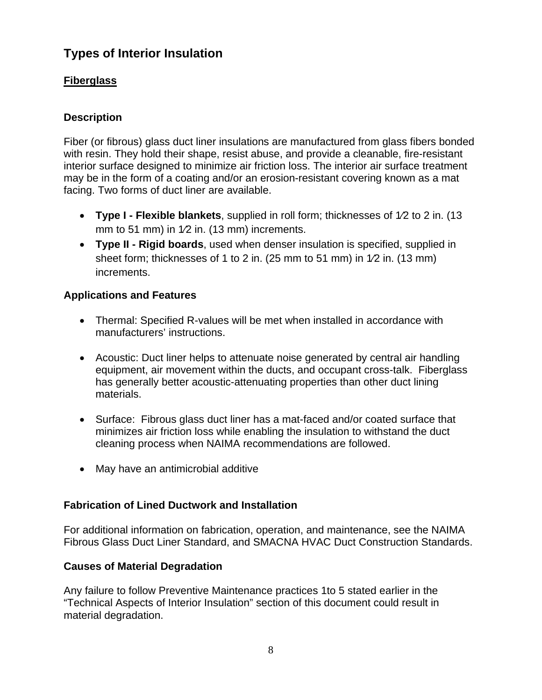# **Types of Interior Insulation**

## **Fiberglass**

### **Description**

Fiber (or fibrous) glass duct liner insulations are manufactured from glass fibers bonded with resin. They hold their shape, resist abuse, and provide a cleanable, fire-resistant interior surface designed to minimize air friction loss. The interior air surface treatment may be in the form of a coating and/or an erosion-resistant covering known as a mat facing. Two forms of duct liner are available.

- **Type I Flexible blankets**, supplied in roll form; thicknesses of 1⁄2 to 2 in. (13 mm to 51 mm) in 1⁄2 in. (13 mm) increments.
- **Type II Rigid boards**, used when denser insulation is specified, supplied in sheet form; thicknesses of 1 to 2 in. (25 mm to 51 mm) in 1⁄2 in. (13 mm) increments.

### **Applications and Features**

- Thermal: Specified R-values will be met when installed in accordance with manufacturers' instructions.
- Acoustic: Duct liner helps to attenuate noise generated by central air handling equipment, air movement within the ducts, and occupant cross-talk. Fiberglass has generally better acoustic-attenuating properties than other duct lining materials.
- Surface: Fibrous glass duct liner has a mat-faced and/or coated surface that minimizes air friction loss while enabling the insulation to withstand the duct cleaning process when NAIMA recommendations are followed.
- May have an antimicrobial additive

### **Fabrication of Lined Ductwork and Installation**

For additional information on fabrication, operation, and maintenance, see the NAIMA Fibrous Glass Duct Liner Standard, and SMACNA HVAC Duct Construction Standards.

### **Causes of Material Degradation**

Any failure to follow Preventive Maintenance practices 1to 5 stated earlier in the "Technical Aspects of Interior Insulation" section of this document could result in material degradation.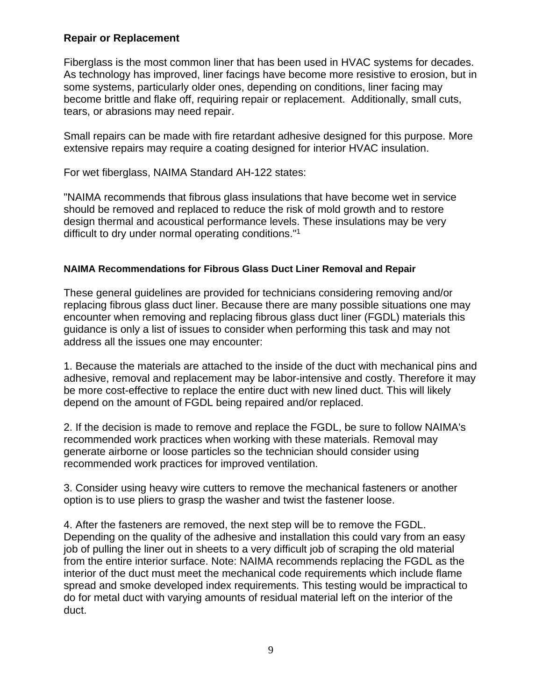#### **Repair or Replacement**

Fiberglass is the most common liner that has been used in HVAC systems for decades. As technology has improved, liner facings have become more resistive to erosion, but in some systems, particularly older ones, depending on conditions, liner facing may become brittle and flake off, requiring repair or replacement. Additionally, small cuts, tears, or abrasions may need repair.

Small repairs can be made with fire retardant adhesive designed for this purpose. More extensive repairs may require a coating designed for interior HVAC insulation.

For wet fiberglass, NAIMA Standard AH-122 states:

"NAIMA recommends that fibrous glass insulations that have become wet in service should be removed and replaced to reduce the risk of mold growth and to restore design thermal and acoustical performance levels. These insulations may be very difficult to dry under normal operating conditions."1

#### **NAIMA Recommendations for Fibrous Glass Duct Liner Removal and Repair**

These general guidelines are provided for technicians considering removing and/or replacing fibrous glass duct liner. Because there are many possible situations one may encounter when removing and replacing fibrous glass duct liner (FGDL) materials this guidance is only a list of issues to consider when performing this task and may not address all the issues one may encounter:

1. Because the materials are attached to the inside of the duct with mechanical pins and adhesive, removal and replacement may be labor-intensive and costly. Therefore it may be more cost-effective to replace the entire duct with new lined duct. This will likely depend on the amount of FGDL being repaired and/or replaced.

2. If the decision is made to remove and replace the FGDL, be sure to follow NAIMA's recommended work practices when working with these materials. Removal may generate airborne or loose particles so the technician should consider using recommended work practices for improved ventilation.

3. Consider using heavy wire cutters to remove the mechanical fasteners or another option is to use pliers to grasp the washer and twist the fastener loose.

4. After the fasteners are removed, the next step will be to remove the FGDL. Depending on the quality of the adhesive and installation this could vary from an easy job of pulling the liner out in sheets to a very difficult job of scraping the old material from the entire interior surface. Note: NAIMA recommends replacing the FGDL as the interior of the duct must meet the mechanical code requirements which include flame spread and smoke developed index requirements. This testing would be impractical to do for metal duct with varying amounts of residual material left on the interior of the duct.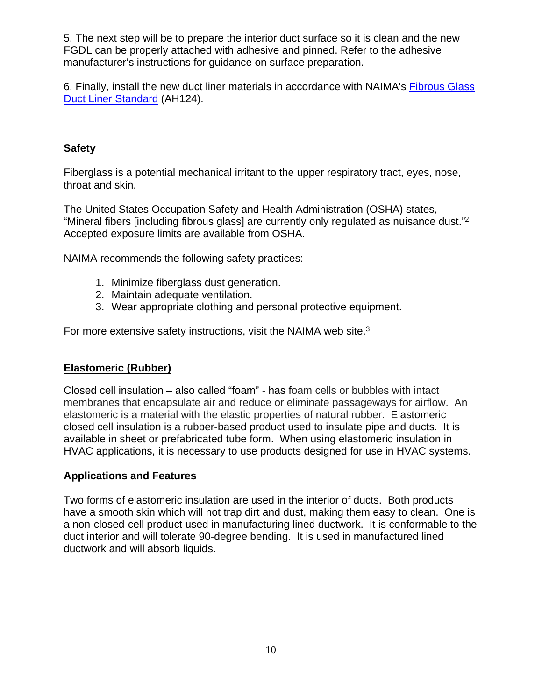5. The next step will be to prepare the interior duct surface so it is clean and the new FGDL can be properly attached with adhesive and pinned. Refer to the adhesive manufacturer's instructions for guidance on surface preparation.

6. Finally, install the new duct liner materials in accordance with NAIMA's Fibrous Glass Duct Liner Standard (AH124).

### **Safety**

Fiberglass is a potential mechanical irritant to the upper respiratory tract, eyes, nose, throat and skin.

The United States Occupation Safety and Health Administration (OSHA) states, "Mineral fibers [including fibrous glass] are currently only regulated as nuisance dust."2 Accepted exposure limits are available from OSHA.

NAIMA recommends the following safety practices:

- 1. Minimize fiberglass dust generation.
- 2. Maintain adequate ventilation.
- 3. Wear appropriate clothing and personal protective equipment.

For more extensive safety instructions, visit the NAIMA web site.<sup>3</sup>

### **Elastomeric (Rubber)**

Closed cell insulation – also called "foam" - has foam cells or bubbles with intact membranes that encapsulate air and reduce or eliminate passageways for airflow. An elastomeric is a material with the elastic properties of natural rubber. Elastomeric closed cell insulation is a rubber-based product used to insulate pipe and ducts. It is available in sheet or prefabricated tube form. When using elastomeric insulation in HVAC applications, it is necessary to use products designed for use in HVAC systems.

### **Applications and Features**

Two forms of elastomeric insulation are used in the interior of ducts. Both products have a smooth skin which will not trap dirt and dust, making them easy to clean. One is a non-closed-cell product used in manufacturing lined ductwork. It is conformable to the duct interior and will tolerate 90-degree bending. It is used in manufactured lined ductwork and will absorb liquids.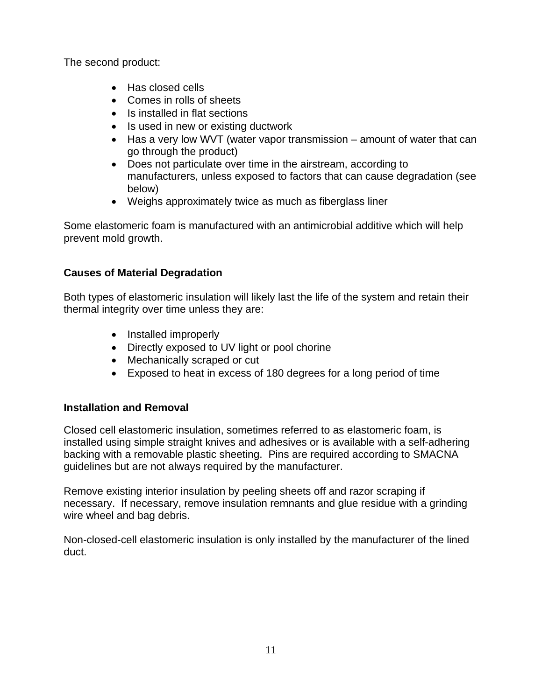The second product:

- Has closed cells
- Comes in rolls of sheets
- Is installed in flat sections
- Is used in new or existing ductwork
- Has a very low WVT (water vapor transmission amount of water that can go through the product)
- Does not particulate over time in the airstream, according to manufacturers, unless exposed to factors that can cause degradation (see below)
- Weighs approximately twice as much as fiberglass liner

Some elastomeric foam is manufactured with an antimicrobial additive which will help prevent mold growth.

### **Causes of Material Degradation**

Both types of elastomeric insulation will likely last the life of the system and retain their thermal integrity over time unless they are:

- Installed improperly
- Directly exposed to UV light or pool chorine
- Mechanically scraped or cut
- Exposed to heat in excess of 180 degrees for a long period of time

### **Installation and Removal**

Closed cell elastomeric insulation, sometimes referred to as elastomeric foam, is installed using simple straight knives and adhesives or is available with a self-adhering backing with a removable plastic sheeting. Pins are required according to SMACNA guidelines but are not always required by the manufacturer.

Remove existing interior insulation by peeling sheets off and razor scraping if necessary. If necessary, remove insulation remnants and glue residue with a grinding wire wheel and bag debris.

Non-closed-cell elastomeric insulation is only installed by the manufacturer of the lined duct.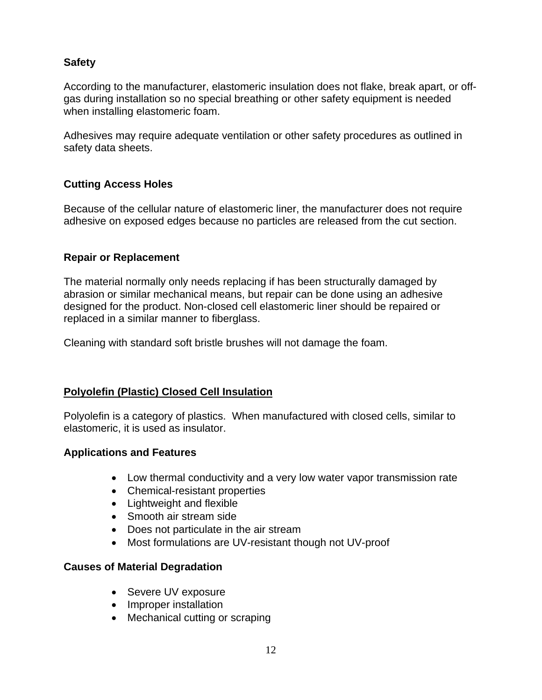### **Safety**

According to the manufacturer, elastomeric insulation does not flake, break apart, or offgas during installation so no special breathing or other safety equipment is needed when installing elastomeric foam.

Adhesives may require adequate ventilation or other safety procedures as outlined in safety data sheets.

### **Cutting Access Holes**

Because of the cellular nature of elastomeric liner, the manufacturer does not require adhesive on exposed edges because no particles are released from the cut section.

### **Repair or Replacement**

The material normally only needs replacing if has been structurally damaged by abrasion or similar mechanical means, but repair can be done using an adhesive designed for the product. Non-closed cell elastomeric liner should be repaired or replaced in a similar manner to fiberglass.

Cleaning with standard soft bristle brushes will not damage the foam.

### **Polyolefin (Plastic) Closed Cell Insulation**

Polyolefin is a category of plastics. When manufactured with closed cells, similar to elastomeric, it is used as insulator.

### **Applications and Features**

- Low thermal conductivity and a very low water vapor transmission rate
- Chemical-resistant properties
- Lightweight and flexible
- Smooth air stream side
- Does not particulate in the air stream
- Most formulations are UV-resistant though not UV-proof

### **Causes of Material Degradation**

- Severe UV exposure
- Improper installation
- Mechanical cutting or scraping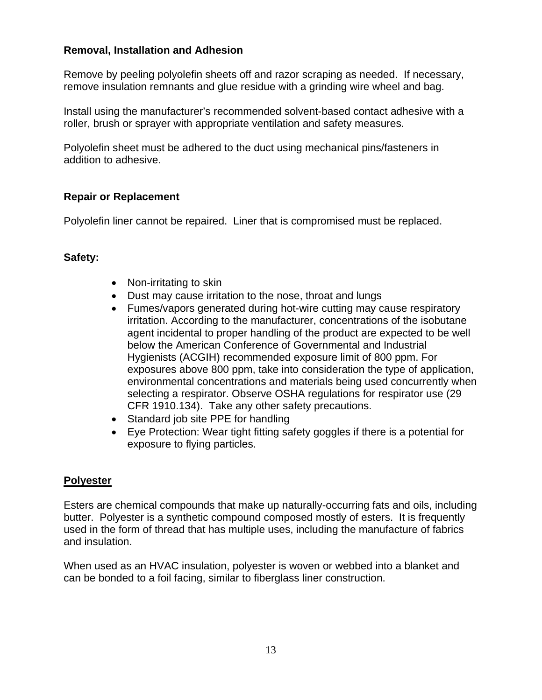### **Removal, Installation and Adhesion**

Remove by peeling polyolefin sheets off and razor scraping as needed. If necessary, remove insulation remnants and glue residue with a grinding wire wheel and bag.

Install using the manufacturer's recommended solvent-based contact adhesive with a roller, brush or sprayer with appropriate ventilation and safety measures.

Polyolefin sheet must be adhered to the duct using mechanical pins/fasteners in addition to adhesive.

#### **Repair or Replacement**

Polyolefin liner cannot be repaired. Liner that is compromised must be replaced.

#### **Safety:**

- Non-irritating to skin
- Dust may cause irritation to the nose, throat and lungs
- Fumes/vapors generated during hot-wire cutting may cause respiratory irritation. According to the manufacturer, concentrations of the isobutane agent incidental to proper handling of the product are expected to be well below the American Conference of Governmental and Industrial Hygienists (ACGIH) recommended exposure limit of 800 ppm. For exposures above 800 ppm, take into consideration the type of application, environmental concentrations and materials being used concurrently when selecting a respirator. Observe OSHA regulations for respirator use (29 CFR 1910.134). Take any other safety precautions.
- Standard job site PPE for handling
- Eye Protection: Wear tight fitting safety goggles if there is a potential for exposure to flying particles.

#### **Polyester**

Esters are chemical compounds that make up naturally-occurring fats and oils, including butter. Polyester is a synthetic compound composed mostly of esters. It is frequently used in the form of thread that has multiple uses, including the manufacture of fabrics and insulation.

When used as an HVAC insulation, polyester is woven or webbed into a blanket and can be bonded to a foil facing, similar to fiberglass liner construction.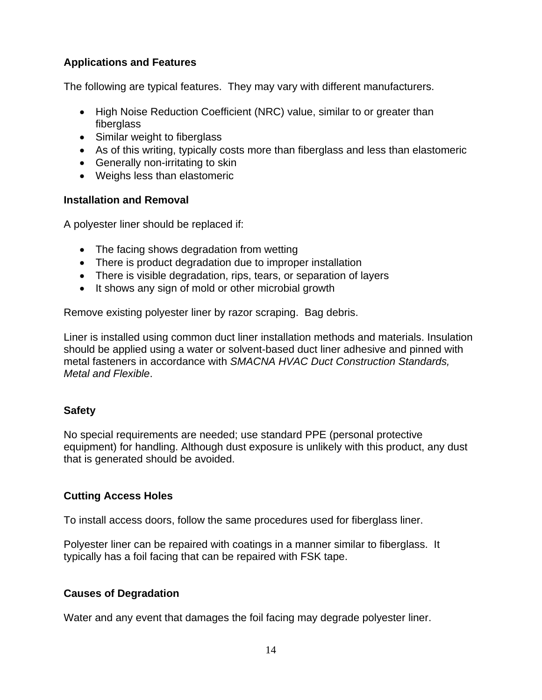### **Applications and Features**

The following are typical features. They may vary with different manufacturers.

- High Noise Reduction Coefficient (NRC) value, similar to or greater than fiberglass
- Similar weight to fiberglass
- As of this writing, typically costs more than fiberglass and less than elastomeric
- Generally non-irritating to skin
- Weighs less than elastomeric

#### **Installation and Removal**

A polyester liner should be replaced if:

- The facing shows degradation from wetting
- There is product degradation due to improper installation
- There is visible degradation, rips, tears, or separation of layers
- It shows any sign of mold or other microbial growth

Remove existing polyester liner by razor scraping. Bag debris.

Liner is installed using common duct liner installation methods and materials. Insulation should be applied using a water or solvent-based duct liner adhesive and pinned with metal fasteners in accordance with *SMACNA HVAC Duct Construction Standards, Metal and Flexible*.

### **Safety**

No special requirements are needed; use standard PPE (personal protective equipment) for handling. Although dust exposure is unlikely with this product, any dust that is generated should be avoided.

### **Cutting Access Holes**

To install access doors, follow the same procedures used for fiberglass liner.

Polyester liner can be repaired with coatings in a manner similar to fiberglass. It typically has a foil facing that can be repaired with FSK tape.

### **Causes of Degradation**

Water and any event that damages the foil facing may degrade polyester liner.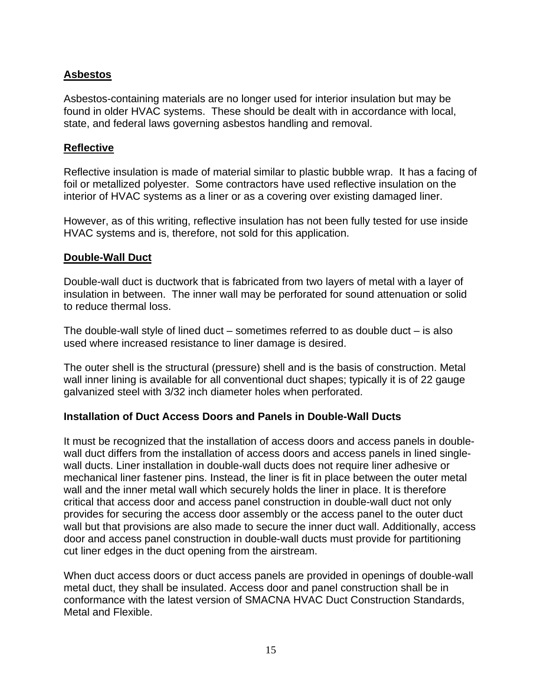### **Asbestos**

Asbestos-containing materials are no longer used for interior insulation but may be found in older HVAC systems. These should be dealt with in accordance with local, state, and federal laws governing asbestos handling and removal.

#### **Reflective**

Reflective insulation is made of material similar to plastic bubble wrap. It has a facing of foil or metallized polyester. Some contractors have used reflective insulation on the interior of HVAC systems as a liner or as a covering over existing damaged liner.

However, as of this writing, reflective insulation has not been fully tested for use inside HVAC systems and is, therefore, not sold for this application.

#### **Double-Wall Duct**

Double-wall duct is ductwork that is fabricated from two layers of metal with a layer of insulation in between. The inner wall may be perforated for sound attenuation or solid to reduce thermal loss.

The double-wall style of lined duct – sometimes referred to as double duct – is also used where increased resistance to liner damage is desired.

The outer shell is the structural (pressure) shell and is the basis of construction. Metal wall inner lining is available for all conventional duct shapes; typically it is of 22 gauge galvanized steel with 3/32 inch diameter holes when perforated.

#### **Installation of Duct Access Doors and Panels in Double-Wall Ducts**

It must be recognized that the installation of access doors and access panels in doublewall duct differs from the installation of access doors and access panels in lined singlewall ducts. Liner installation in double-wall ducts does not require liner adhesive or mechanical liner fastener pins. Instead, the liner is fit in place between the outer metal wall and the inner metal wall which securely holds the liner in place. It is therefore critical that access door and access panel construction in double-wall duct not only provides for securing the access door assembly or the access panel to the outer duct wall but that provisions are also made to secure the inner duct wall. Additionally, access door and access panel construction in double-wall ducts must provide for partitioning cut liner edges in the duct opening from the airstream.

When duct access doors or duct access panels are provided in openings of double-wall metal duct, they shall be insulated. Access door and panel construction shall be in conformance with the latest version of SMACNA HVAC Duct Construction Standards, Metal and Flexible.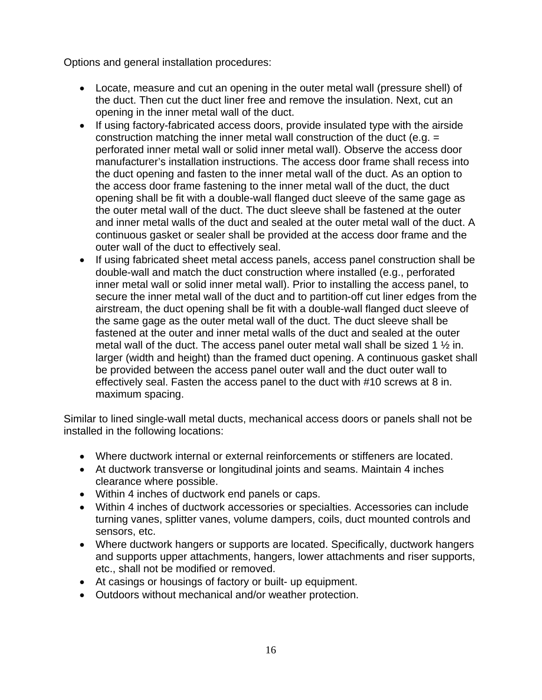Options and general installation procedures:

- Locate, measure and cut an opening in the outer metal wall (pressure shell) of the duct. Then cut the duct liner free and remove the insulation. Next, cut an opening in the inner metal wall of the duct.
- If using factory-fabricated access doors, provide insulated type with the airside construction matching the inner metal wall construction of the duct (e.g. = perforated inner metal wall or solid inner metal wall). Observe the access door manufacturer's installation instructions. The access door frame shall recess into the duct opening and fasten to the inner metal wall of the duct. As an option to the access door frame fastening to the inner metal wall of the duct, the duct opening shall be fit with a double-wall flanged duct sleeve of the same gage as the outer metal wall of the duct. The duct sleeve shall be fastened at the outer and inner metal walls of the duct and sealed at the outer metal wall of the duct. A continuous gasket or sealer shall be provided at the access door frame and the outer wall of the duct to effectively seal.
- If using fabricated sheet metal access panels, access panel construction shall be double-wall and match the duct construction where installed (e.g., perforated inner metal wall or solid inner metal wall). Prior to installing the access panel, to secure the inner metal wall of the duct and to partition-off cut liner edges from the airstream, the duct opening shall be fit with a double-wall flanged duct sleeve of the same gage as the outer metal wall of the duct. The duct sleeve shall be fastened at the outer and inner metal walls of the duct and sealed at the outer metal wall of the duct. The access panel outer metal wall shall be sized 1  $\frac{1}{2}$  in. larger (width and height) than the framed duct opening. A continuous gasket shall be provided between the access panel outer wall and the duct outer wall to effectively seal. Fasten the access panel to the duct with #10 screws at 8 in. maximum spacing.

Similar to lined single-wall metal ducts, mechanical access doors or panels shall not be installed in the following locations:

- Where ductwork internal or external reinforcements or stiffeners are located.
- At ductwork transverse or longitudinal joints and seams. Maintain 4 inches clearance where possible.
- Within 4 inches of ductwork end panels or caps.
- Within 4 inches of ductwork accessories or specialties. Accessories can include turning vanes, splitter vanes, volume dampers, coils, duct mounted controls and sensors, etc.
- Where ductwork hangers or supports are located. Specifically, ductwork hangers and supports upper attachments, hangers, lower attachments and riser supports, etc., shall not be modified or removed.
- At casings or housings of factory or built- up equipment.
- Outdoors without mechanical and/or weather protection.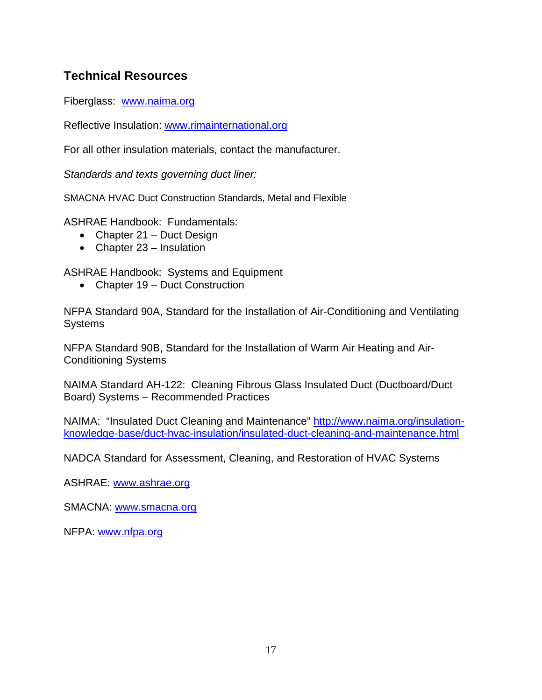## **Technical Resources**

Fiberglass: www.naima.org

Reflective Insulation: www.rimainternational.org

For all other insulation materials, contact the manufacturer.

*Standards and texts governing duct liner:* 

SMACNA HVAC Duct Construction Standards, Metal and Flexible

ASHRAE Handbook: Fundamentals:

- Chapter 21 Duct Design
- Chapter 23 Insulation

ASHRAE Handbook: Systems and Equipment

• Chapter 19 – Duct Construction

NFPA Standard 90A, Standard for the Installation of Air-Conditioning and Ventilating **Systems** 

NFPA Standard 90B, Standard for the Installation of Warm Air Heating and Air-Conditioning Systems

NAIMA Standard AH-122: Cleaning Fibrous Glass Insulated Duct (Ductboard/Duct Board) Systems – Recommended Practices

NAIMA: "Insulated Duct Cleaning and Maintenance" http://www.naima.org/insulationknowledge-base/duct-hvac-insulation/insulated-duct-cleaning-and-maintenance.html

NADCA Standard for Assessment, Cleaning, and Restoration of HVAC Systems

ASHRAE: www.ashrae.org

SMACNA: www.smacna.org

NFPA: www.nfpa.org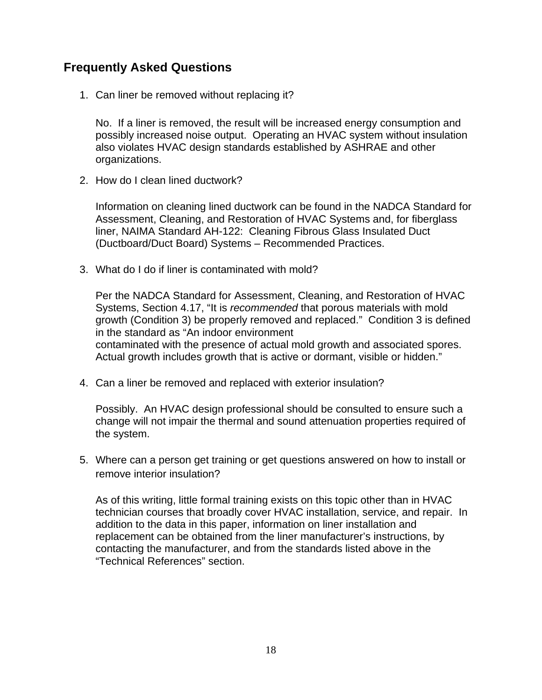## **Frequently Asked Questions**

1. Can liner be removed without replacing it?

No. If a liner is removed, the result will be increased energy consumption and possibly increased noise output. Operating an HVAC system without insulation also violates HVAC design standards established by ASHRAE and other organizations.

2. How do I clean lined ductwork?

Information on cleaning lined ductwork can be found in the NADCA Standard for Assessment, Cleaning, and Restoration of HVAC Systems and, for fiberglass liner, NAIMA Standard AH-122: Cleaning Fibrous Glass Insulated Duct (Ductboard/Duct Board) Systems – Recommended Practices.

3. What do I do if liner is contaminated with mold?

Per the NADCA Standard for Assessment, Cleaning, and Restoration of HVAC Systems, Section 4.17, "It is *recommended* that porous materials with mold growth (Condition 3) be properly removed and replaced." Condition 3 is defined in the standard as "An indoor environment contaminated with the presence of actual mold growth and associated spores. Actual growth includes growth that is active or dormant, visible or hidden."

4. Can a liner be removed and replaced with exterior insulation?

Possibly. An HVAC design professional should be consulted to ensure such a change will not impair the thermal and sound attenuation properties required of the system.

5. Where can a person get training or get questions answered on how to install or remove interior insulation?

As of this writing, little formal training exists on this topic other than in HVAC technician courses that broadly cover HVAC installation, service, and repair. In addition to the data in this paper, information on liner installation and replacement can be obtained from the liner manufacturer's instructions, by contacting the manufacturer, and from the standards listed above in the "Technical References" section.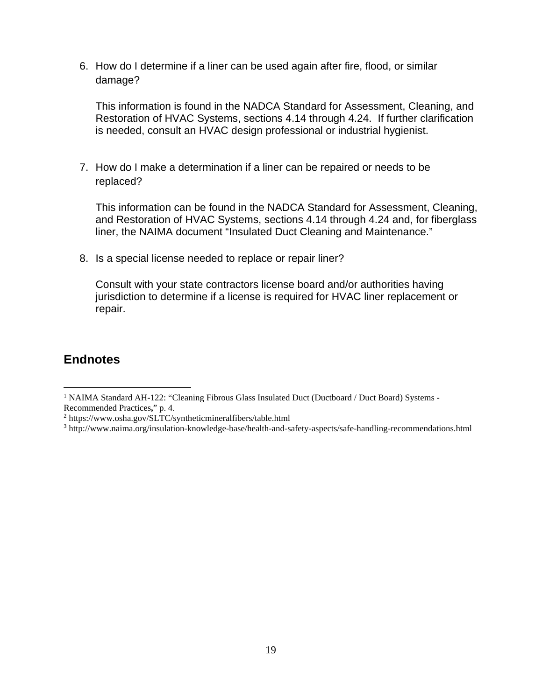6. How do I determine if a liner can be used again after fire, flood, or similar damage?

This information is found in the NADCA Standard for Assessment, Cleaning, and Restoration of HVAC Systems, sections 4.14 through 4.24. If further clarification is needed, consult an HVAC design professional or industrial hygienist.

7. How do I make a determination if a liner can be repaired or needs to be replaced?

This information can be found in the NADCA Standard for Assessment, Cleaning, and Restoration of HVAC Systems, sections 4.14 through 4.24 and, for fiberglass liner, the NAIMA document "Insulated Duct Cleaning and Maintenance."

8. Is a special license needed to replace or repair liner?

Consult with your state contractors license board and/or authorities having jurisdiction to determine if a license is required for HVAC liner replacement or repair.

### **Endnotes**

 $\overline{a}$ 

<sup>&</sup>lt;sup>1</sup> NAIMA Standard AH-122: "Cleaning Fibrous Glass Insulated Duct (Ductboard / Duct Board) Systems -Recommended Practices**,**" p. 4. 2

<sup>&</sup>lt;sup>2</sup> https://www.osha.gov/SLTC/syntheticmineralfibers/table.html

<sup>3</sup> http://www.naima.org/insulation-knowledge-base/health-and-safety-aspects/safe-handling-recommendations.html